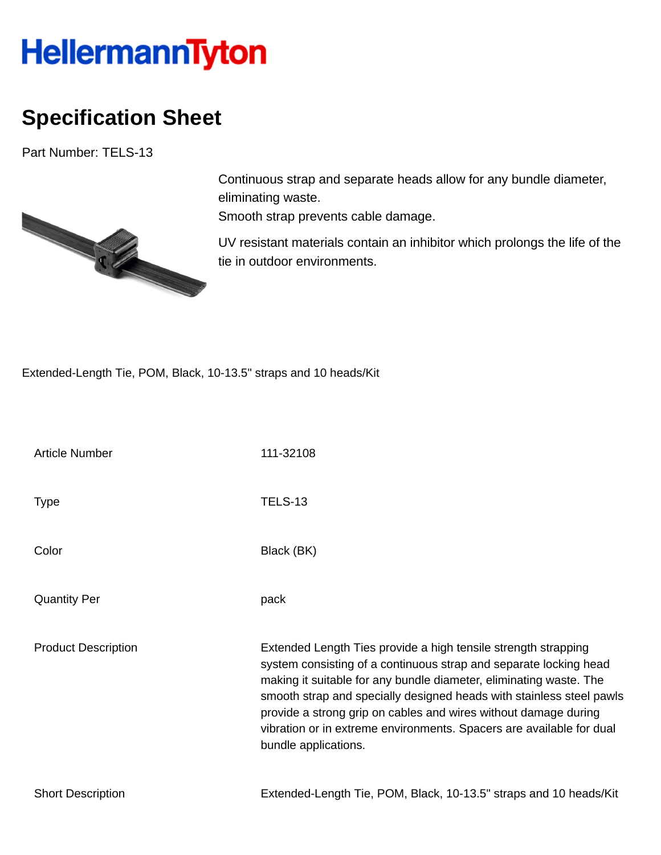## **HellermannTyton**

## **Specification Sheet**

Part Number: TELS-13



Continuous strap and separate heads allow for any bundle diameter, eliminating waste.

Smooth strap prevents cable damage.

UV resistant materials contain an inhibitor which prolongs the life of the tie in outdoor environments.

Extended-Length Tie, POM, Black, 10-13.5" straps and 10 heads/Kit

| <b>Article Number</b>      | 111-32108                                                                                                                                                                                                                                                                                                                                                                                                                                            |
|----------------------------|------------------------------------------------------------------------------------------------------------------------------------------------------------------------------------------------------------------------------------------------------------------------------------------------------------------------------------------------------------------------------------------------------------------------------------------------------|
| <b>Type</b>                | <b>TELS-13</b>                                                                                                                                                                                                                                                                                                                                                                                                                                       |
| Color                      | Black (BK)                                                                                                                                                                                                                                                                                                                                                                                                                                           |
| <b>Quantity Per</b>        | pack                                                                                                                                                                                                                                                                                                                                                                                                                                                 |
| <b>Product Description</b> | Extended Length Ties provide a high tensile strength strapping<br>system consisting of a continuous strap and separate locking head<br>making it suitable for any bundle diameter, eliminating waste. The<br>smooth strap and specially designed heads with stainless steel pawls<br>provide a strong grip on cables and wires without damage during<br>vibration or in extreme environments. Spacers are available for dual<br>bundle applications. |
| <b>Short Description</b>   | Extended-Length Tie, POM, Black, 10-13.5" straps and 10 heads/Kit                                                                                                                                                                                                                                                                                                                                                                                    |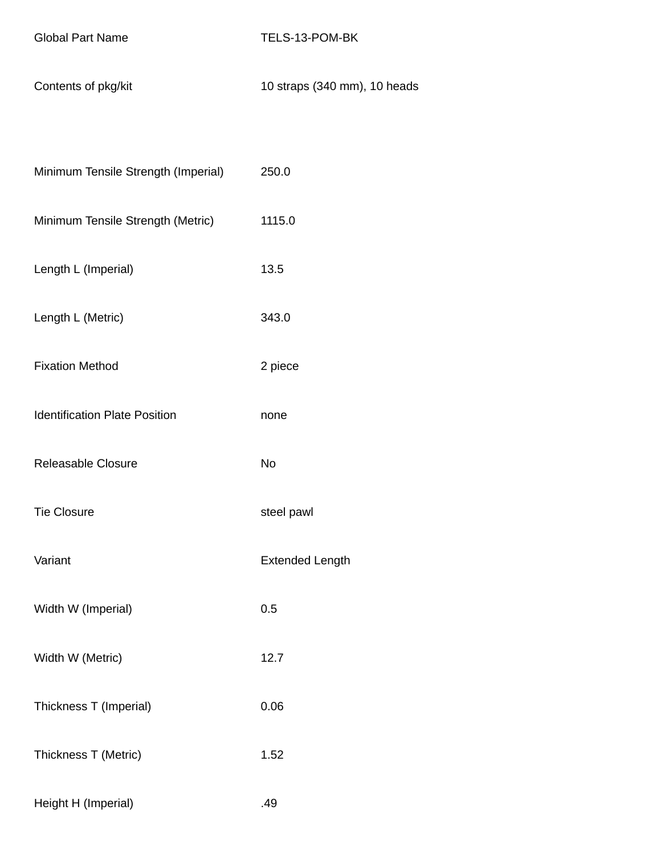Contents of pkg/kit 10 straps (340 mm), 10 heads

| Minimum Tensile Strength (Imperial)  | 250.0                  |
|--------------------------------------|------------------------|
| Minimum Tensile Strength (Metric)    | 1115.0                 |
| Length L (Imperial)                  | 13.5                   |
| Length L (Metric)                    | 343.0                  |
| <b>Fixation Method</b>               | 2 piece                |
| <b>Identification Plate Position</b> | none                   |
| Releasable Closure                   | <b>No</b>              |
| <b>Tie Closure</b>                   | steel pawl             |
| Variant                              | <b>Extended Length</b> |
| Width W (Imperial)                   | 0.5                    |
| Width W (Metric)                     | 12.7                   |
| Thickness T (Imperial)               | 0.06                   |
| Thickness T (Metric)                 | 1.52                   |
| Height H (Imperial)                  | .49                    |